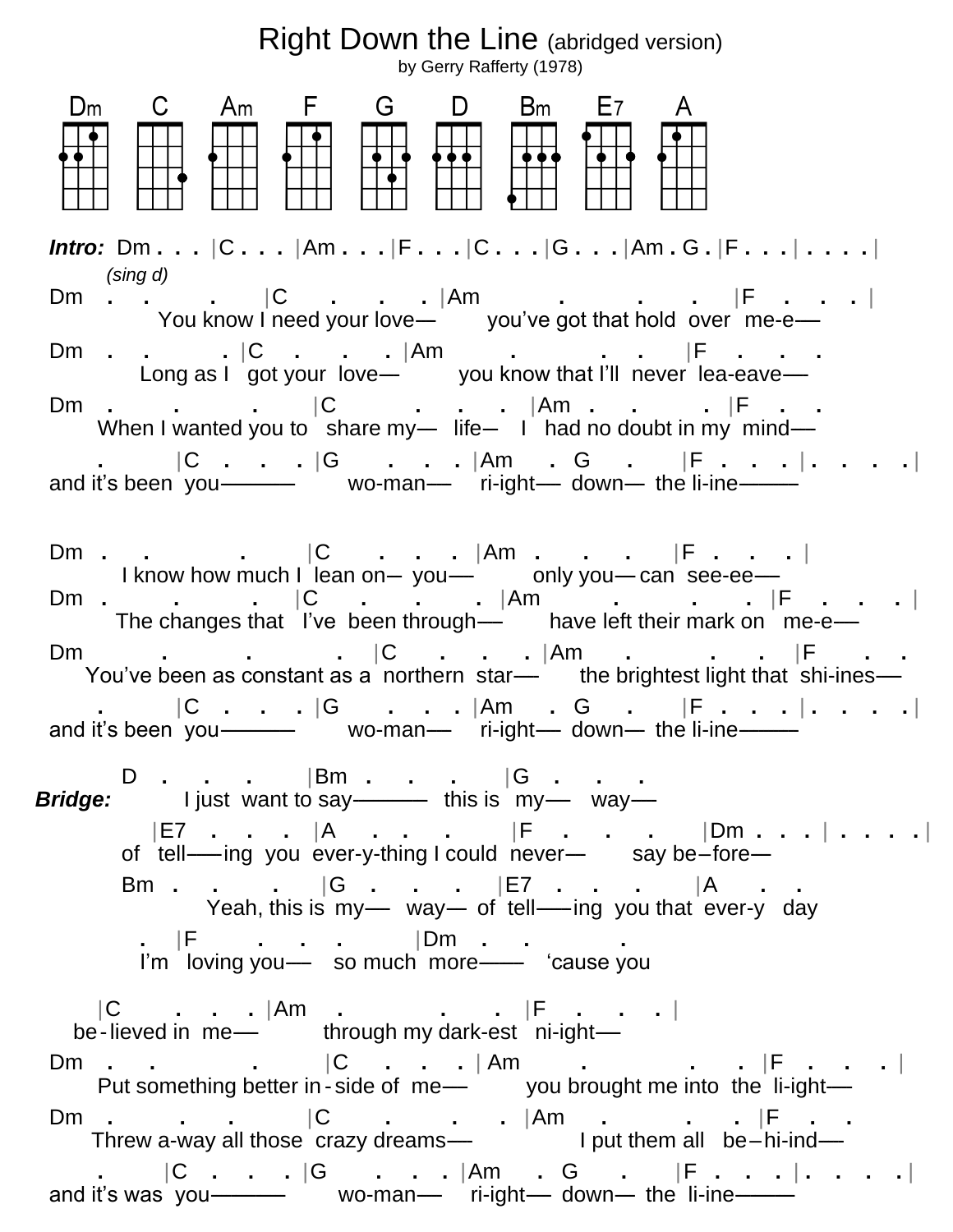## Right Down the Line (abridged version)

by Gerry Rafferty (1978) dCaFGDbLA *Intro:* Dm **. . .** |C **. . .** |Am **. . .** |F **. . .** |C **. . .** |G **. . .** |Am **.** G **.** |F **. . .** | **. . . .** |  *(sing d)* Dm **. . .** |C **. . .** |Am **. . .** |F **. . .** | You know I need your love— you've got that hold over me-e— Dm **. . .** |C **. . .** |Am **. . .** |F **. . .** Long as I got your love-- you know that I'll never lea-eave-Dm **. . .** |C **. . .** |Am **. . .** |F **. .**  When I wanted you to share my---- life--- I had no doubt in my mind--- **.** |C **. . .** |G **. . .** |Am **.** G **.** |F **. . .** | **. . . .** | and it's been you----------- vo-man--- ri-ight--- down-- the li-ine----Dm **. . .** |C **. . .** |Am **. . .** |F **. . .** | I know how much I lean on-you-- only you-can see-ee-Dm **. . .** |C **. . .** |Am **. . .** |F **. . .** | The changes that I've been through----- have left their mark on me-e----- Dm **. . .** |C **. . .** |Am **. . .** |F **. .**  You've been as constant as a northern star--- the brightest light that shi-ines-- **.** |C **. . .** |G **. . .** |Am **.** G **.** |F **. . .** | **. . . .** | and it's been you--------------- wo-man----- ri-ight----- down---- the li-ine------------ D **. . .** |Bm **. . .** |G **. . . Bridge:** I just want to say----------- this is my--- way--- |E7 **. . .** |A **. . .** |F **. . .** |Dm **. . .** | **. . . .** | of tell----ing you ever-y-thing I could never-- say be-fore- Bm **. . .** |G **. . .** |E7 **. . .** |A **. .**  Yeah, this is my- way- of tell---ing you that ever-y day **.** |F **. . .** |Dm **. . .** I'm loving you-- so much more--- 'cause you |C **. . .** |Am **. . .** |F **. . .** | be-lieved in me----- through my dark-est ni-ight----- Dm **. . .** |C **. . .** | Am **. . .** |F **. . .** | Put something better in - side of me---- you brought me into the li-ight---Dm **. . .** |C **. . .** |Am **. . .** |F **. .**  Threw a-way all those crazy dreams— $\blacksquare$  I put them all be–hi-ind—  **.** |C **. . .** |G **. . .** |Am **.** G **.** |F **. . .** | **. . . .** | and it's was you--------------- wo-man----- ri-ight----- down---- the li-ine------------